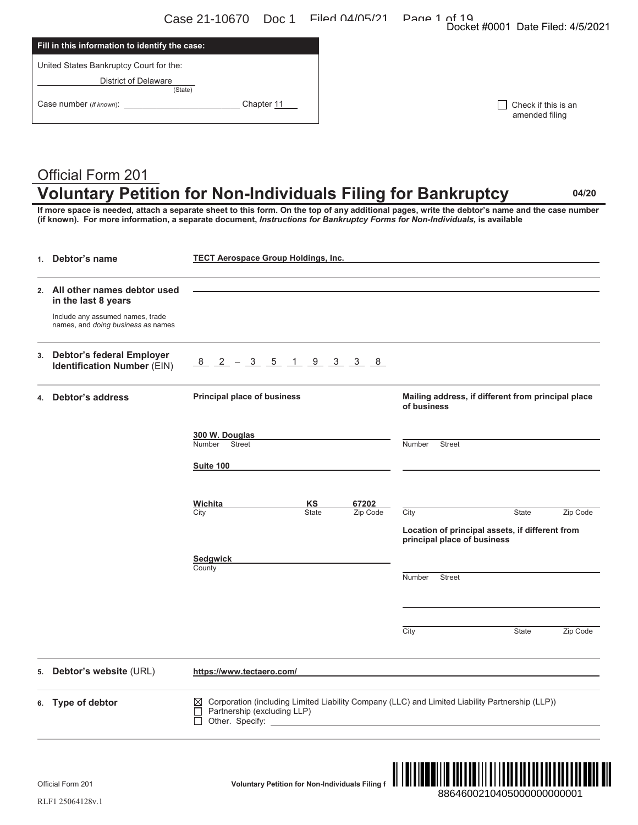Case 21-10670 Doc 1 Filed 04/05/21 Page 1 of 19<br>Docket #0001 Date Filed: 4/5/2021

| Fill in this information to identify the case: |            |
|------------------------------------------------|------------|
| United States Bankruptcy Court for the:        |            |
| <b>District of Delaware</b><br>(State)         |            |
| Case number (If known):                        | Chapter 11 |

| $\Box$ Check if this is an |
|----------------------------|
| amended filing             |

# Official Form 201 **Voluntary Petition for Non-Individuals Filing for Bankruptcy 04/20**

|    | Official Form 201                                                      | <b>Voluntary Petition for Non-Individuals Filing f</b>                                                                                                                                                                                                                                                                                                                      | 8864600210405000000000001                                                                                                                               |
|----|------------------------------------------------------------------------|-----------------------------------------------------------------------------------------------------------------------------------------------------------------------------------------------------------------------------------------------------------------------------------------------------------------------------------------------------------------------------|---------------------------------------------------------------------------------------------------------------------------------------------------------|
|    | 6. Type of debtor                                                      | Corporation (including Limited Liability Company (LLC) and Limited Liability Partnership (LLP))<br>⋈<br>Partnership (excluding LLP)<br>Other. Specify: <u>Contact Contact Contact Contact Contact Contact Contact Contact Contact Contact Contact Contact Contact Contact Contact Contact Contact Contact Contact Contact Contact Contact Contact Contact Contact Conta</u> |                                                                                                                                                         |
| 5. | Debtor's website (URL)                                                 | https://www.tectaero.com/                                                                                                                                                                                                                                                                                                                                                   |                                                                                                                                                         |
|    |                                                                        |                                                                                                                                                                                                                                                                                                                                                                             | City<br>State<br>Zip Code                                                                                                                               |
|    |                                                                        |                                                                                                                                                                                                                                                                                                                                                                             | Number<br><b>Street</b>                                                                                                                                 |
|    |                                                                        | <b>Sedgwick</b><br>County                                                                                                                                                                                                                                                                                                                                                   |                                                                                                                                                         |
|    |                                                                        |                                                                                                                                                                                                                                                                                                                                                                             | Location of principal assets, if different from<br>principal place of business                                                                          |
|    |                                                                        | KS<br>67202<br>Wichita<br>City<br><b>State</b><br>Zip Code                                                                                                                                                                                                                                                                                                                  | City<br><b>State</b><br>Zip Code                                                                                                                        |
|    |                                                                        | Suite 100                                                                                                                                                                                                                                                                                                                                                                   |                                                                                                                                                         |
|    |                                                                        | 300 W. Douglas<br><b>Street</b><br>Number                                                                                                                                                                                                                                                                                                                                   | Number<br><b>Street</b>                                                                                                                                 |
|    |                                                                        |                                                                                                                                                                                                                                                                                                                                                                             | of business                                                                                                                                             |
| 4. | <b>Debtor's address</b>                                                | Principal place of business                                                                                                                                                                                                                                                                                                                                                 | Mailing address, if different from principal place                                                                                                      |
|    | 3. Debtor's federal Employer<br><b>Identification Number (EIN)</b>     | <u>8 2 - 3 5 1 9 3 3 8 </u>                                                                                                                                                                                                                                                                                                                                                 |                                                                                                                                                         |
|    | Include any assumed names, trade<br>names, and doing business as names |                                                                                                                                                                                                                                                                                                                                                                             |                                                                                                                                                         |
|    | 2. All other names debtor used<br>in the last 8 years                  |                                                                                                                                                                                                                                                                                                                                                                             |                                                                                                                                                         |
|    | 1. Debtor's name                                                       | <b>TECT Aerospace Group Holdings, Inc.</b>                                                                                                                                                                                                                                                                                                                                  |                                                                                                                                                         |
|    |                                                                        | (if known). For more information, a separate document, Instructions for Bankruptcy Forms for Non-Individuals, is available                                                                                                                                                                                                                                                  |                                                                                                                                                         |
|    |                                                                        | <b>Voluntary Petition for Non-Individuals Filing for Bankruptcy</b>                                                                                                                                                                                                                                                                                                         | 04/20<br>If more space is needed, attach a separate sheet to this form. On the top of any additional pages, write the debtor's name and the case number |
|    | <b>Official Form 201</b>                                               |                                                                                                                                                                                                                                                                                                                                                                             |                                                                                                                                                         |
|    |                                                                        | Chapter 11                                                                                                                                                                                                                                                                                                                                                                  | Check if this is an<br>amended filing                                                                                                                   |
|    | <b>District of Delaware</b><br>(State)                                 |                                                                                                                                                                                                                                                                                                                                                                             |                                                                                                                                                         |
|    | United States Bankruptcy Court for the:                                |                                                                                                                                                                                                                                                                                                                                                                             |                                                                                                                                                         |
|    | Fill in this information to identify the case:                         |                                                                                                                                                                                                                                                                                                                                                                             | Docket #0001 Date Filed: 4/5/2021                                                                                                                       |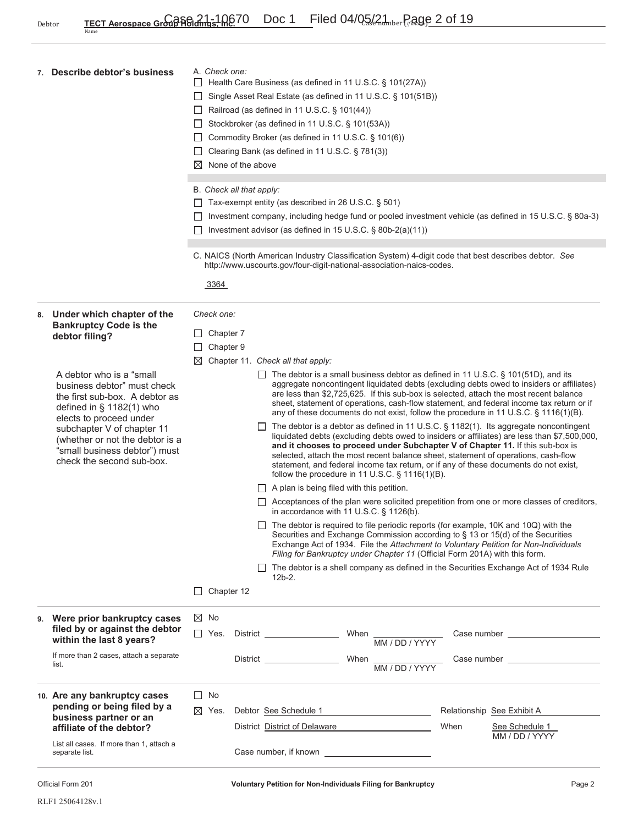| 7. Describe debtor's business                                                                                                                                                                                                                                                      | A. Check one:<br>Health Care Business (as defined in 11 U.S.C. § 101(27A))<br>Single Asset Real Estate (as defined in 11 U.S.C. § 101(51B))<br>$\perp$<br>$\Box$ Railroad (as defined in 11 U.S.C. § 101(44))<br>Stockbroker (as defined in 11 U.S.C. § 101(53A))<br>□ Commodity Broker (as defined in 11 U.S.C. § 101(6))<br>□ Clearing Bank (as defined in 11 U.S.C. § 781(3))<br>$\boxtimes$ None of the above<br>B. Check all that apply:<br>$\Box$ Tax-exempt entity (as described in 26 U.S.C. § 501)<br>Investment company, including hedge fund or pooled investment vehicle (as defined in 15 U.S.C. § 80a-3)<br>Investment advisor (as defined in 15 U.S.C. § 80b-2(a)(11))                                                                                                                                                                                                                                                                                                                                                                                                                                                                                                                                                                                                                                                                                                                                                                                                                                                                                                                                                                      |  |
|------------------------------------------------------------------------------------------------------------------------------------------------------------------------------------------------------------------------------------------------------------------------------------|------------------------------------------------------------------------------------------------------------------------------------------------------------------------------------------------------------------------------------------------------------------------------------------------------------------------------------------------------------------------------------------------------------------------------------------------------------------------------------------------------------------------------------------------------------------------------------------------------------------------------------------------------------------------------------------------------------------------------------------------------------------------------------------------------------------------------------------------------------------------------------------------------------------------------------------------------------------------------------------------------------------------------------------------------------------------------------------------------------------------------------------------------------------------------------------------------------------------------------------------------------------------------------------------------------------------------------------------------------------------------------------------------------------------------------------------------------------------------------------------------------------------------------------------------------------------------------------------------------------------------------------------------------|--|
|                                                                                                                                                                                                                                                                                    | C. NAICS (North American Industry Classification System) 4-digit code that best describes debtor. See<br>http://www.uscourts.gov/four-digit-national-association-naics-codes.<br>3364                                                                                                                                                                                                                                                                                                                                                                                                                                                                                                                                                                                                                                                                                                                                                                                                                                                                                                                                                                                                                                                                                                                                                                                                                                                                                                                                                                                                                                                                      |  |
| 8. Under which chapter of the<br><b>Bankruptcy Code is the</b><br>debtor filing?                                                                                                                                                                                                   | Check one:<br>Chapter 7<br>$\Box$<br>Chapter 9<br>⊔<br>Chapter 11. Check all that apply:                                                                                                                                                                                                                                                                                                                                                                                                                                                                                                                                                                                                                                                                                                                                                                                                                                                                                                                                                                                                                                                                                                                                                                                                                                                                                                                                                                                                                                                                                                                                                                   |  |
| A debtor who is a "small<br>business debtor" must check<br>the first sub-box. A debtor as<br>defined in $\S$ 1182(1) who<br>elects to proceed under<br>subchapter V of chapter 11<br>(whether or not the debtor is a<br>"small business debtor") must<br>check the second sub-box. | $\Box$ The debtor is a small business debtor as defined in 11 U.S.C. § 101(51D), and its<br>aggregate noncontingent liquidated debts (excluding debts owed to insiders or affiliates)<br>are less than \$2,725,625. If this sub-box is selected, attach the most recent balance<br>sheet, statement of operations, cash-flow statement, and federal income tax return or if<br>any of these documents do not exist, follow the procedure in 11 U.S.C. § 1116(1)(B).<br>$\Box$ The debtor is a debtor as defined in 11 U.S.C. § 1182(1). Its aggregate noncontingent<br>liquidated debts (excluding debts owed to insiders or affiliates) are less than \$7,500,000,<br>and it chooses to proceed under Subchapter V of Chapter 11. If this sub-box is<br>selected, attach the most recent balance sheet, statement of operations, cash-flow<br>statement, and federal income tax return, or if any of these documents do not exist,<br>follow the procedure in 11 U.S.C. $\S$ 1116(1)(B).<br>$\Box$ A plan is being filed with this petition.<br>$\Box$ Acceptances of the plan were solicited prepetition from one or more classes of creditors,<br>in accordance with 11 U.S.C. $\S$ 1126(b).<br>The debtor is required to file periodic reports (for example, 10K and 10Q) with the<br>Securities and Exchange Commission according to § 13 or 15(d) of the Securities<br>Exchange Act of 1934. File the Attachment to Voluntary Petition for Non-Individuals<br>Filing for Bankruptcy under Chapter 11 (Official Form 201A) with this form.<br>$\Box$ The debtor is a shell company as defined in the Securities Exchange Act of 1934 Rule<br>$12b-2.$ |  |
|                                                                                                                                                                                                                                                                                    | Chapter 12<br>$\Box$                                                                                                                                                                                                                                                                                                                                                                                                                                                                                                                                                                                                                                                                                                                                                                                                                                                                                                                                                                                                                                                                                                                                                                                                                                                                                                                                                                                                                                                                                                                                                                                                                                       |  |
| 9. Were prior bankruptcy cases<br>filed by or against the debtor<br>within the last 8 years?                                                                                                                                                                                       | $\boxtimes$ No<br>$\Box$ Yes.                                                                                                                                                                                                                                                                                                                                                                                                                                                                                                                                                                                                                                                                                                                                                                                                                                                                                                                                                                                                                                                                                                                                                                                                                                                                                                                                                                                                                                                                                                                                                                                                                              |  |
| If more than 2 cases, attach a separate<br>list.                                                                                                                                                                                                                                   | When $\frac{1}{MM/DD/YYYY}$<br>Case number ______________________<br>District <b>District</b>                                                                                                                                                                                                                                                                                                                                                                                                                                                                                                                                                                                                                                                                                                                                                                                                                                                                                                                                                                                                                                                                                                                                                                                                                                                                                                                                                                                                                                                                                                                                                              |  |
| 10. Are any bankruptcy cases<br>pending or being filed by a<br>business partner or an<br>affiliate of the debtor?                                                                                                                                                                  | $\Box$ No<br>Debtor See Schedule 1<br>$\boxtimes$ Yes.<br>Relationship See Exhibit A<br><u> 2002 - John Stone, Amerikan besteht der Stone (</u><br>District District of Delaware<br>When<br>See Schedule 1                                                                                                                                                                                                                                                                                                                                                                                                                                                                                                                                                                                                                                                                                                                                                                                                                                                                                                                                                                                                                                                                                                                                                                                                                                                                                                                                                                                                                                                 |  |
| List all cases. If more than 1, attach a<br>separate list.                                                                                                                                                                                                                         | MM / DD / YYYY                                                                                                                                                                                                                                                                                                                                                                                                                                                                                                                                                                                                                                                                                                                                                                                                                                                                                                                                                                                                                                                                                                                                                                                                                                                                                                                                                                                                                                                                                                                                                                                                                                             |  |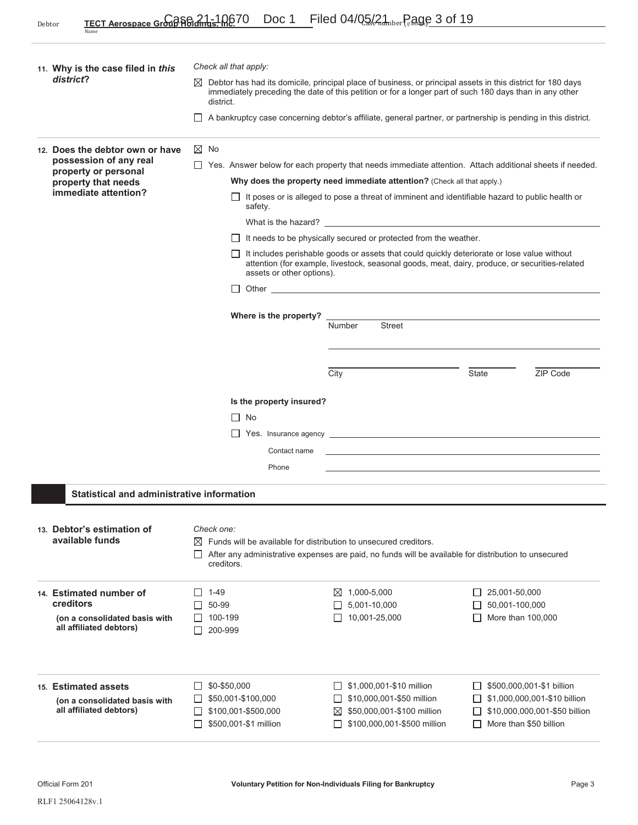|                                     | 11. Why is the case filed in this                                                                                                | Check all that apply:                                                                                                                                                                                                                                                                                                                                                                                                                                                                                                                                                                                                                                                                                                                                                                                                                                                                                                                                                                                                                                                                          |                                                                                                                                                                                                                        |                  |                                                                                                                    |                    |                                                                                                                      |
|-------------------------------------|----------------------------------------------------------------------------------------------------------------------------------|------------------------------------------------------------------------------------------------------------------------------------------------------------------------------------------------------------------------------------------------------------------------------------------------------------------------------------------------------------------------------------------------------------------------------------------------------------------------------------------------------------------------------------------------------------------------------------------------------------------------------------------------------------------------------------------------------------------------------------------------------------------------------------------------------------------------------------------------------------------------------------------------------------------------------------------------------------------------------------------------------------------------------------------------------------------------------------------------|------------------------------------------------------------------------------------------------------------------------------------------------------------------------------------------------------------------------|------------------|--------------------------------------------------------------------------------------------------------------------|--------------------|----------------------------------------------------------------------------------------------------------------------|
| district?<br>$\bowtie$<br>district. |                                                                                                                                  |                                                                                                                                                                                                                                                                                                                                                                                                                                                                                                                                                                                                                                                                                                                                                                                                                                                                                                                                                                                                                                                                                                | Debtor has had its domicile, principal place of business, or principal assets in this district for 180 days<br>immediately preceding the date of this petition or for a longer part of such 180 days than in any other |                  |                                                                                                                    |                    |                                                                                                                      |
|                                     |                                                                                                                                  | $\perp$                                                                                                                                                                                                                                                                                                                                                                                                                                                                                                                                                                                                                                                                                                                                                                                                                                                                                                                                                                                                                                                                                        | A bankruptcy case concerning debtor's affiliate, general partner, or partnership is pending in this district.                                                                                                          |                  |                                                                                                                    |                    |                                                                                                                      |
|                                     | 12. Does the debtor own or have<br>possession of any real<br>property or personal<br>property that needs<br>immediate attention? | $\boxtimes$ No<br>Yes. Answer below for each property that needs immediate attention. Attach additional sheets if needed.<br>Why does the property need immediate attention? (Check all that apply.)<br>It poses or is alleged to pose a threat of imminent and identifiable hazard to public health or<br>safety.<br>What is the hazard? The state of the state of the state of the state of the state of the state of the state of the state of the state of the state of the state of the state of the state of the state of the state of the sta<br>$\Box$ It needs to be physically secured or protected from the weather.<br>It includes perishable goods or assets that could quickly deteriorate or lose value without<br>attention (for example, livestock, seasonal goods, meat, dairy, produce, or securities-related<br>assets or other options).<br>Other and the contract of the contract of the contract of the contract of the contract of the contract of the contract of the contract of the contract of the contract of the contract of the contract of the contract of the |                                                                                                                                                                                                                        |                  |                                                                                                                    |                    |                                                                                                                      |
|                                     |                                                                                                                                  |                                                                                                                                                                                                                                                                                                                                                                                                                                                                                                                                                                                                                                                                                                                                                                                                                                                                                                                                                                                                                                                                                                | Where is the property?                                                                                                                                                                                                 | Number<br>City   | <b>Street</b>                                                                                                      | <b>State</b>       | ZIP Code                                                                                                             |
|                                     |                                                                                                                                  |                                                                                                                                                                                                                                                                                                                                                                                                                                                                                                                                                                                                                                                                                                                                                                                                                                                                                                                                                                                                                                                                                                | Is the property insured?<br>$\Box$ No<br>$\Box$ Yes. Insurance agency $\Box$<br>Contact name<br>Phone                                                                                                                  |                  | and the control of the control of the control of the control of the control of the control of the control of the   |                    |                                                                                                                      |
|                                     |                                                                                                                                  | Statistical and administrative information                                                                                                                                                                                                                                                                                                                                                                                                                                                                                                                                                                                                                                                                                                                                                                                                                                                                                                                                                                                                                                                     |                                                                                                                                                                                                                        |                  |                                                                                                                    |                    |                                                                                                                      |
|                                     | 13. Debtor's estimation of<br>available funds                                                                                    | Check one:                                                                                                                                                                                                                                                                                                                                                                                                                                                                                                                                                                                                                                                                                                                                                                                                                                                                                                                                                                                                                                                                                     | $\boxtimes$ Funds will be available for distribution to unsecured creditors.<br>After any administrative expenses are paid, no funds will be available for distribution to unsecured<br>creditors.                     |                  |                                                                                                                    |                    |                                                                                                                      |
|                                     | 14. Estimated number of<br>creditors<br>(on a consolidated basis with<br>all affiliated debtors)                                 | $1 - 49$<br>$\mathsf{L}$<br>$\Box$ 50-99                                                                                                                                                                                                                                                                                                                                                                                                                                                                                                                                                                                                                                                                                                                                                                                                                                                                                                                                                                                                                                                       | 100-199<br>200-999                                                                                                                                                                                                     | 1,000-5,000<br>⊠ | 5,001-10,000<br>10,001-25,000                                                                                      | 25,001-50,000<br>Ш | 50,001-100,000<br>More than 100,000                                                                                  |
|                                     | 15. Estimated assets<br>(on a consolidated basis with<br>all affiliated debtors)                                                 |                                                                                                                                                                                                                                                                                                                                                                                                                                                                                                                                                                                                                                                                                                                                                                                                                                                                                                                                                                                                                                                                                                | \$0-\$50,000<br>\$50,001-\$100,000<br>\$100,001-\$500,000<br>\$500,001-\$1 million                                                                                                                                     | ⊠                | \$1,000,001-\$10 million<br>\$10,000,001-\$50 million<br>\$50,000,001-\$100 million<br>\$100,000,001-\$500 million | $\mathsf{L}$       | \$500,000,001-\$1 billion<br>\$1,000,000,001-\$10 billion<br>\$10,000,000,001-\$50 billion<br>More than \$50 billion |

I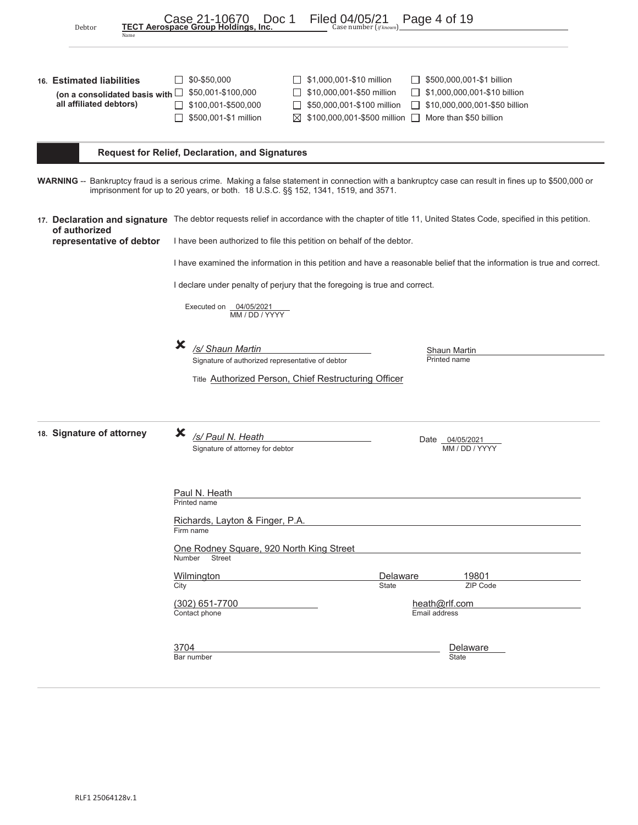| Debtor<br>Name                                                                               | Case 21-10670<br>Doc 1<br>TECT Aerospace Group Holdings, Inc.                                                                     | Filed 04/05/21<br>Page 4 of 19<br>Case number (ifknown)                                                                                                                                                                                                                                          |
|----------------------------------------------------------------------------------------------|-----------------------------------------------------------------------------------------------------------------------------------|--------------------------------------------------------------------------------------------------------------------------------------------------------------------------------------------------------------------------------------------------------------------------------------------------|
| 16. Estimated liabilities<br>(on a consolidated basis with $\Box$<br>all affiliated debtors) | \$0-\$50,000<br>\$50,001-\$100,000<br>\$100,001-\$500,000<br>\$500,001-\$1 million                                                | \$1,000,001-\$10 million<br>\$500,000,001-\$1 billion<br>$\mathsf{L}$<br>\$10,000,001-\$50 million<br>\$1,000,000,001-\$10 billion<br>\$50,000,001-\$100 million<br>\$10,000,000,001-\$50 billion<br>$\mathbf{I}$<br>$\boxtimes$ \$100,000,001-\$500 million $\square$<br>More than \$50 billion |
|                                                                                              | <b>Request for Relief, Declaration, and Signatures</b>                                                                            |                                                                                                                                                                                                                                                                                                  |
|                                                                                              | imprisonment for up to 20 years, or both. 18 U.S.C. §§ 152, 1341, 1519, and 3571.                                                 | WARNING -- Bankruptcy fraud is a serious crime. Making a false statement in connection with a bankruptcy case can result in fines up to \$500,000 or                                                                                                                                             |
| of authorized<br>representative of debtor                                                    | I have been authorized to file this petition on behalf of the debtor.                                                             | 17. Declaration and signature The debtor requests relief in accordance with the chapter of title 11, United States Code, specified in this petition.                                                                                                                                             |
|                                                                                              |                                                                                                                                   | I have examined the information in this petition and have a reasonable belief that the information is true and correct.                                                                                                                                                                          |
|                                                                                              | I declare under penalty of perjury that the foregoing is true and correct.<br>Executed on 04/05/2021<br>MM / DD / YYYY            |                                                                                                                                                                                                                                                                                                  |
|                                                                                              | Х<br>/s/ Shaun Martin<br>Signature of authorized representative of debtor<br>Title Authorized Person, Chief Restructuring Officer | Shaun Martin<br>Printed name                                                                                                                                                                                                                                                                     |
| 18. Signature of attorney                                                                    | х<br>/s/ Paul N. Heath<br>Signature of attorney for debtor                                                                        | Date 04/05/2021<br>MM / DD / YYYY                                                                                                                                                                                                                                                                |
|                                                                                              | Paul N. Heath<br>Printed name<br>Richards, Layton & Finger, P.A.<br>Firm name                                                     |                                                                                                                                                                                                                                                                                                  |
|                                                                                              | One Rodney Square, 920 North King Street<br>Number<br><b>Street</b>                                                               |                                                                                                                                                                                                                                                                                                  |
|                                                                                              | Wilmington<br>City                                                                                                                | Delaware<br>19801<br>ZIP Code<br><b>State</b>                                                                                                                                                                                                                                                    |
|                                                                                              | $(302)$ 651-7700<br>Contact phone                                                                                                 | heath@rlf.com<br>Email address                                                                                                                                                                                                                                                                   |
|                                                                                              | 3704<br>Bar number                                                                                                                | Delaware<br><b>State</b>                                                                                                                                                                                                                                                                         |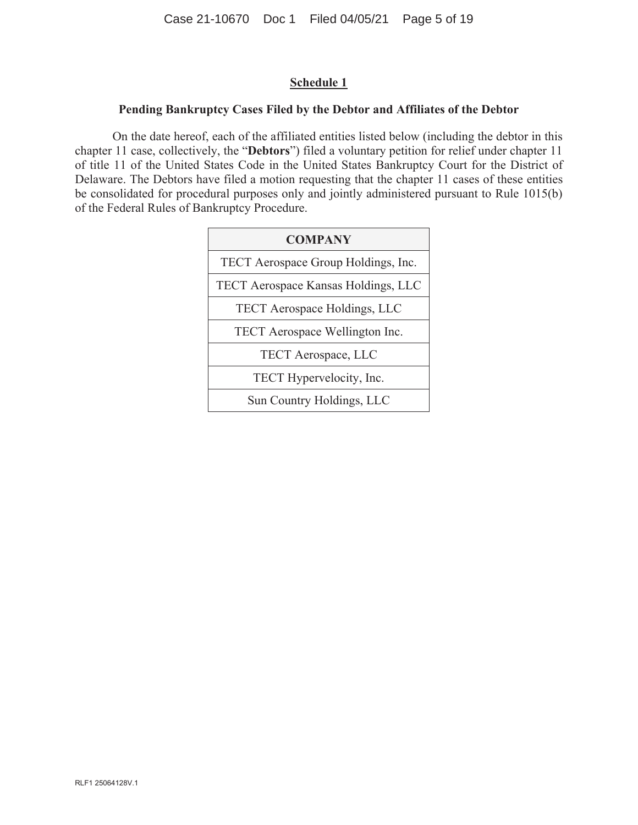## **Schedule 1**

## **Pending Bankruptcy Cases Filed by the Debtor and Affiliates of the Debtor**

On the date hereof, each of the affiliated entities listed below (including the debtor in this chapter 11 case, collectively, the "**Debtors**") filed a voluntary petition for relief under chapter 11 of title 11 of the United States Code in the United States Bankruptcy Court for the District of Delaware. The Debtors have filed a motion requesting that the chapter 11 cases of these entities be consolidated for procedural purposes only and jointly administered pursuant to Rule 1015(b) of the Federal Rules of Bankruptcy Procedure.

| <b>COMPANY</b>                      |
|-------------------------------------|
| TECT Aerospace Group Holdings, Inc. |
| TECT Aerospace Kansas Holdings, LLC |
| <b>TECT Aerospace Holdings, LLC</b> |
| TECT Aerospace Wellington Inc.      |
| TECT Aerospace, LLC                 |
| TECT Hypervelocity, Inc.            |
| Sun Country Holdings, LLC           |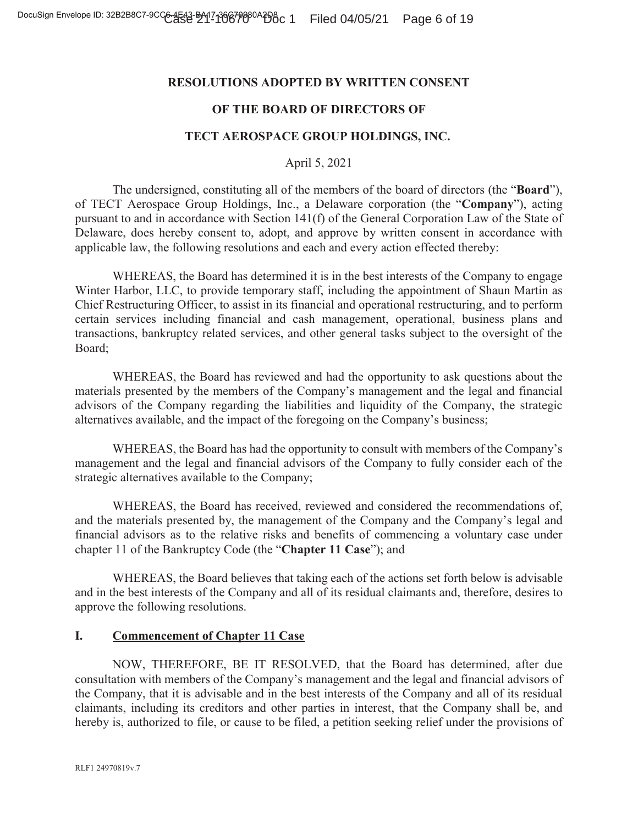## **RESOLUTIONS ADOPTED BY WRITTEN CONSENT**

## **OF THE BOARD OF DIRECTORS OF**

### **TECT AEROSPACE GROUP HOLDINGS, INC.**

April 5, 2021

The undersigned, constituting all of the members of the board of directors (the "**Board**"), of TECT Aerospace Group Holdings, Inc., a Delaware corporation (the "**Company**"), acting pursuant to and in accordance with Section 141(f) of the General Corporation Law of the State of Delaware, does hereby consent to, adopt, and approve by written consent in accordance with applicable law, the following resolutions and each and every action effected thereby:

WHEREAS, the Board has determined it is in the best interests of the Company to engage Winter Harbor, LLC, to provide temporary staff, including the appointment of Shaun Martin as Chief Restructuring Officer, to assist in its financial and operational restructuring, and to perform certain services including financial and cash management, operational, business plans and transactions, bankruptcy related services, and other general tasks subject to the oversight of the Board;

WHEREAS, the Board has reviewed and had the opportunity to ask questions about the materials presented by the members of the Company's management and the legal and financial advisors of the Company regarding the liabilities and liquidity of the Company, the strategic alternatives available, and the impact of the foregoing on the Company's business;

WHEREAS, the Board has had the opportunity to consult with members of the Company's management and the legal and financial advisors of the Company to fully consider each of the strategic alternatives available to the Company;

WHEREAS, the Board has received, reviewed and considered the recommendations of, and the materials presented by, the management of the Company and the Company's legal and financial advisors as to the relative risks and benefits of commencing a voluntary case under chapter 11 of the Bankruptcy Code (the "**Chapter 11 Case**"); and

WHEREAS, the Board believes that taking each of the actions set forth below is advisable and in the best interests of the Company and all of its residual claimants and, therefore, desires to approve the following resolutions.

## **I. Commencement of Chapter 11 Case**

NOW, THEREFORE, BE IT RESOLVED, that the Board has determined, after due consultation with members of the Company's management and the legal and financial advisors of the Company, that it is advisable and in the best interests of the Company and all of its residual claimants, including its creditors and other parties in interest, that the Company shall be, and hereby is, authorized to file, or cause to be filed, a petition seeking relief under the provisions of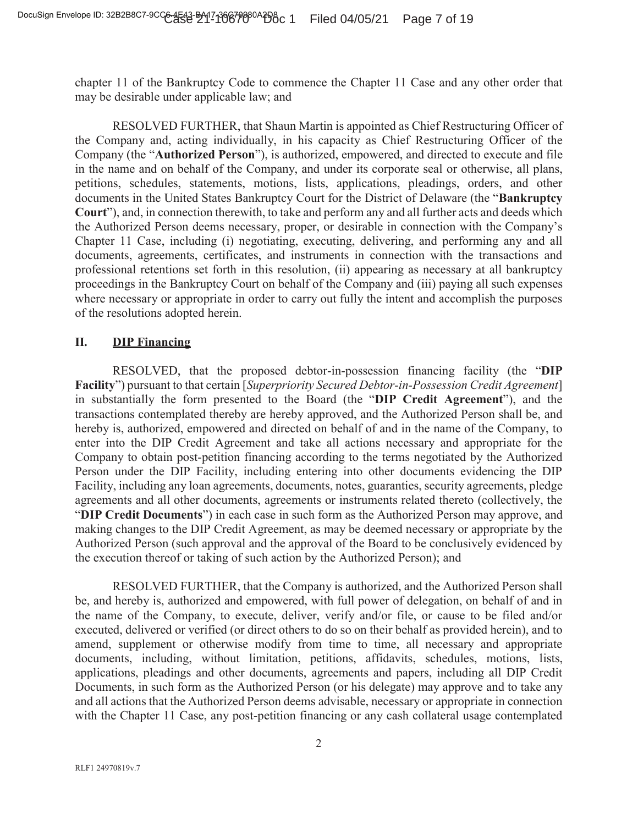chapter 11 of the Bankruptcy Code to commence the Chapter 11 Case and any other order that may be desirable under applicable law; and

RESOLVED FURTHER, that Shaun Martin is appointed as Chief Restructuring Officer of the Company and, acting individually, in his capacity as Chief Restructuring Officer of the Company (the "**Authorized Person**"), is authorized, empowered, and directed to execute and file in the name and on behalf of the Company, and under its corporate seal or otherwise, all plans, petitions, schedules, statements, motions, lists, applications, pleadings, orders, and other documents in the United States Bankruptcy Court for the District of Delaware (the "**Bankruptcy Court**"), and, in connection therewith, to take and perform any and all further acts and deeds which the Authorized Person deems necessary, proper, or desirable in connection with the Company's Chapter 11 Case, including (i) negotiating, executing, delivering, and performing any and all documents, agreements, certificates, and instruments in connection with the transactions and professional retentions set forth in this resolution, (ii) appearing as necessary at all bankruptcy proceedings in the Bankruptcy Court on behalf of the Company and (iii) paying all such expenses where necessary or appropriate in order to carry out fully the intent and accomplish the purposes of the resolutions adopted herein.

## **II. DIP Financing**

RESOLVED, that the proposed debtor-in-possession financing facility (the "**DIP Facility**") pursuant to that certain [*Superpriority Secured Debtor-in-Possession Credit Agreement*] in substantially the form presented to the Board (the "**DIP Credit Agreement**"), and the transactions contemplated thereby are hereby approved, and the Authorized Person shall be, and hereby is, authorized, empowered and directed on behalf of and in the name of the Company, to enter into the DIP Credit Agreement and take all actions necessary and appropriate for the Company to obtain post-petition financing according to the terms negotiated by the Authorized Person under the DIP Facility, including entering into other documents evidencing the DIP Facility, including any loan agreements, documents, notes, guaranties, security agreements, pledge agreements and all other documents, agreements or instruments related thereto (collectively, the "**DIP Credit Documents**") in each case in such form as the Authorized Person may approve, and making changes to the DIP Credit Agreement, as may be deemed necessary or appropriate by the Authorized Person (such approval and the approval of the Board to be conclusively evidenced by the execution thereof or taking of such action by the Authorized Person); and

RESOLVED FURTHER, that the Company is authorized, and the Authorized Person shall be, and hereby is, authorized and empowered, with full power of delegation, on behalf of and in the name of the Company, to execute, deliver, verify and/or file, or cause to be filed and/or executed, delivered or verified (or direct others to do so on their behalf as provided herein), and to amend, supplement or otherwise modify from time to time, all necessary and appropriate documents, including, without limitation, petitions, affidavits, schedules, motions, lists, applications, pleadings and other documents, agreements and papers, including all DIP Credit Documents, in such form as the Authorized Person (or his delegate) may approve and to take any and all actions that the Authorized Person deems advisable, necessary or appropriate in connection with the Chapter 11 Case, any post-petition financing or any cash collateral usage contemplated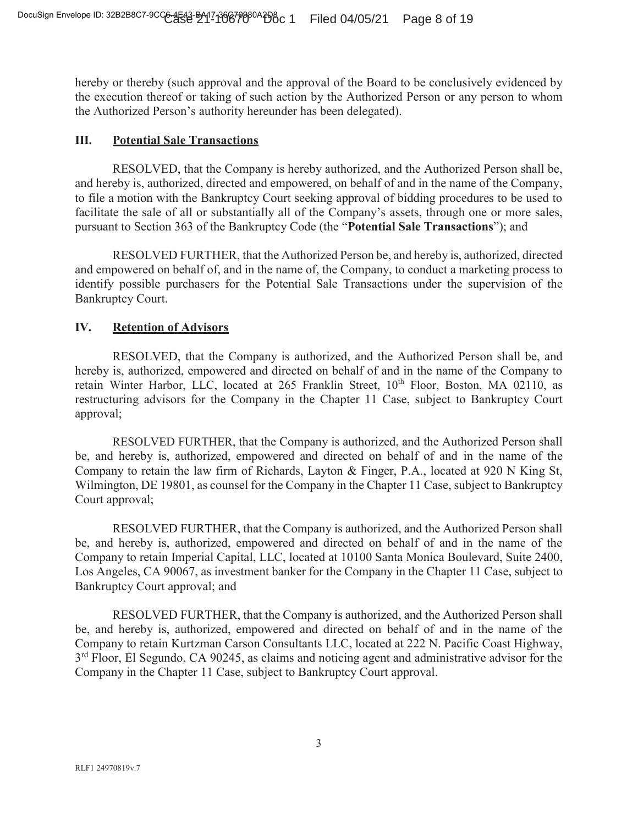hereby or thereby (such approval and the approval of the Board to be conclusively evidenced by the execution thereof or taking of such action by the Authorized Person or any person to whom the Authorized Person's authority hereunder has been delegated).

## **III. Potential Sale Transactions**

RESOLVED, that the Company is hereby authorized, and the Authorized Person shall be, and hereby is, authorized, directed and empowered, on behalf of and in the name of the Company, to file a motion with the Bankruptcy Court seeking approval of bidding procedures to be used to facilitate the sale of all or substantially all of the Company's assets, through one or more sales, pursuant to Section 363 of the Bankruptcy Code (the "**Potential Sale Transactions**"); and

RESOLVED FURTHER, that the Authorized Person be, and hereby is, authorized, directed and empowered on behalf of, and in the name of, the Company, to conduct a marketing process to identify possible purchasers for the Potential Sale Transactions under the supervision of the Bankruptcy Court.

## **IV. Retention of Advisors**

RESOLVED, that the Company is authorized, and the Authorized Person shall be, and hereby is, authorized, empowered and directed on behalf of and in the name of the Company to retain Winter Harbor, LLC, located at 265 Franklin Street, 10<sup>th</sup> Floor, Boston, MA 02110, as restructuring advisors for the Company in the Chapter 11 Case, subject to Bankruptcy Court approval;

RESOLVED FURTHER, that the Company is authorized, and the Authorized Person shall be, and hereby is, authorized, empowered and directed on behalf of and in the name of the Company to retain the law firm of Richards, Layton & Finger, P.A., located at 920 N King St, Wilmington, DE 19801, as counsel for the Company in the Chapter 11 Case, subject to Bankruptcy Court approval;

RESOLVED FURTHER, that the Company is authorized, and the Authorized Person shall be, and hereby is, authorized, empowered and directed on behalf of and in the name of the Company to retain Imperial Capital, LLC, located at 10100 Santa Monica Boulevard, Suite 2400, Los Angeles, CA 90067, as investment banker for the Company in the Chapter 11 Case, subject to Bankruptcy Court approval; and

RESOLVED FURTHER, that the Company is authorized, and the Authorized Person shall be, and hereby is, authorized, empowered and directed on behalf of and in the name of the Company to retain Kurtzman Carson Consultants LLC, located at 222 N. Pacific Coast Highway,  $3<sup>rd</sup>$  Floor, El Segundo, CA 90245, as claims and noticing agent and administrative advisor for the Company in the Chapter 11 Case, subject to Bankruptcy Court approval.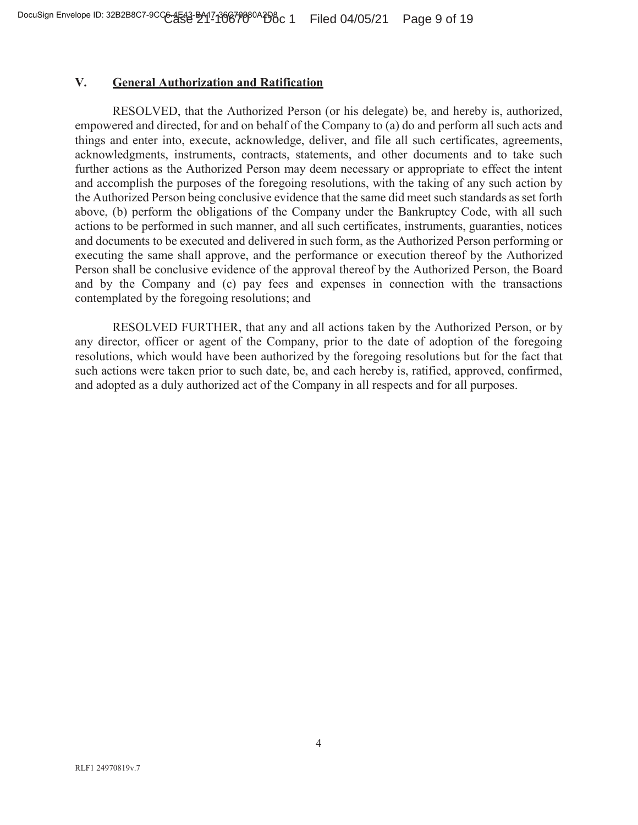## **V. General Authorization and Ratification**

RESOLVED, that the Authorized Person (or his delegate) be, and hereby is, authorized, empowered and directed, for and on behalf of the Company to (a) do and perform all such acts and things and enter into, execute, acknowledge, deliver, and file all such certificates, agreements, acknowledgments, instruments, contracts, statements, and other documents and to take such further actions as the Authorized Person may deem necessary or appropriate to effect the intent and accomplish the purposes of the foregoing resolutions, with the taking of any such action by the Authorized Person being conclusive evidence that the same did meet such standards as set forth above, (b) perform the obligations of the Company under the Bankruptcy Code, with all such actions to be performed in such manner, and all such certificates, instruments, guaranties, notices and documents to be executed and delivered in such form, as the Authorized Person performing or executing the same shall approve, and the performance or execution thereof by the Authorized Person shall be conclusive evidence of the approval thereof by the Authorized Person, the Board and by the Company and (c) pay fees and expenses in connection with the transactions contemplated by the foregoing resolutions; and

RESOLVED FURTHER, that any and all actions taken by the Authorized Person, or by any director, officer or agent of the Company, prior to the date of adoption of the foregoing resolutions, which would have been authorized by the foregoing resolutions but for the fact that such actions were taken prior to such date, be, and each hereby is, ratified, approved, confirmed, and adopted as a duly authorized act of the Company in all respects and for all purposes.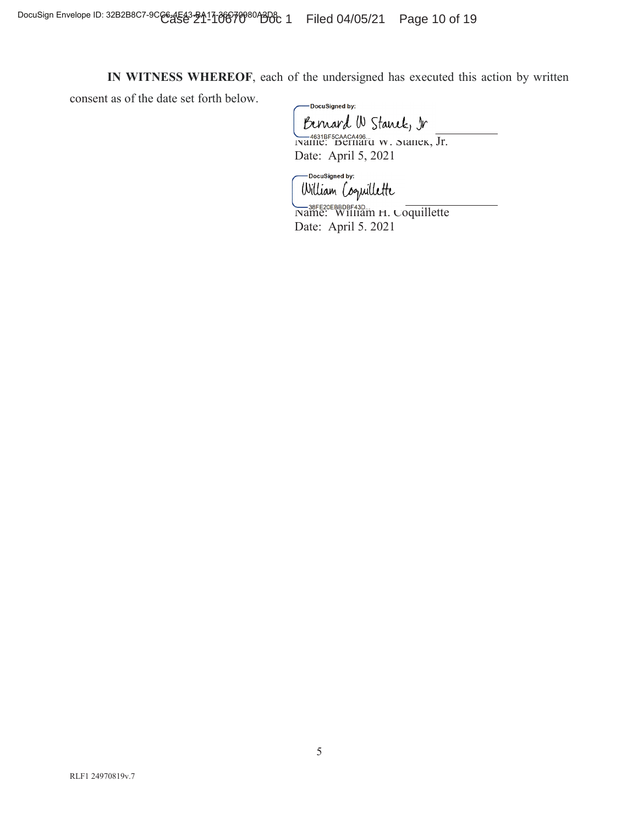**IN WITNESS WHEREOF**, each of the undersigned has executed this action by written

consent as of the date set forth below.

-DocuSigned by: Bernard W Stanek, Ir 4631BF5CAACA496<br>Name: Bernard W. Stanek, Jr. Date: April 5, 2021

-DocuSigned by: William Coopuillette

SASE ENGLISHE AND THE SASE ENGLISHED NAME: WILLIAM H. Coquillette Date: April 5. 2021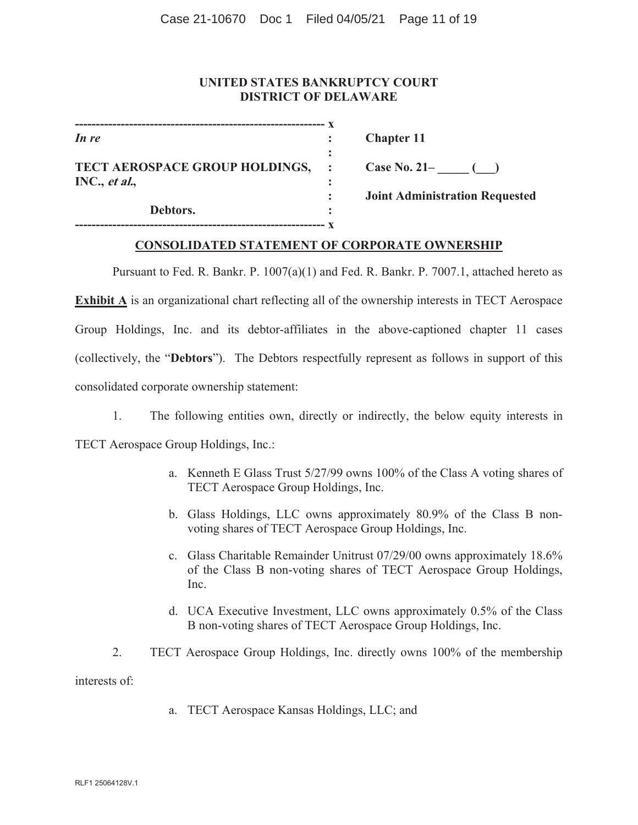## **UNITED STATES BANKRUPTCY COURT DISTRICT OF DELAWARE**

| In re                          |  |
|--------------------------------|--|
|                                |  |
| TECT AEROSPACE GROUP HOLDINGS, |  |
| INC., et al.,                  |  |
|                                |  |
| Debtors.                       |  |
|                                |  |

*In re* **: Chapter 11** 

**Case No. 21– \_\_\_\_\_ (\_\_\_)** 

 **: Joint Administration Requested** 

## **CONSOLIDATED STATEMENT OF CORPORATE OWNERSHIP**

Pursuant to Fed. R. Bankr. P. 1007(a)(1) and Fed. R. Bankr. P. 7007.1, attached hereto as **Exhibit A** is an organizational chart reflecting all of the ownership interests in TECT Aerospace Group Holdings, Inc. and its debtor-affiliates in the above-captioned chapter 11 cases (collectively, the "**Debtors**"). The Debtors respectfully represent as follows in support of this consolidated corporate ownership statement:

1. The following entities own, directly or indirectly, the below equity interests in TECT Aerospace Group Holdings, Inc.:

- a. Kenneth E Glass Trust 5/27/99 owns 100% of the Class A voting shares of TECT Aerospace Group Holdings, Inc.
- b. Glass Holdings, LLC owns approximately 80.9% of the Class B nonvoting shares of TECT Aerospace Group Holdings, Inc.
- c. Glass Charitable Remainder Unitrust 07/29/00 owns approximately 18.6% of the Class B non-voting shares of TECT Aerospace Group Holdings, Inc.
- d. UCA Executive Investment, LLC owns approximately 0.5% of the Class B non-voting shares of TECT Aerospace Group Holdings, Inc.
- 2. TECT Aerospace Group Holdings, Inc. directly owns 100% of the membership interests of:
	- a. TECT Aerospace Kansas Holdings, LLC; and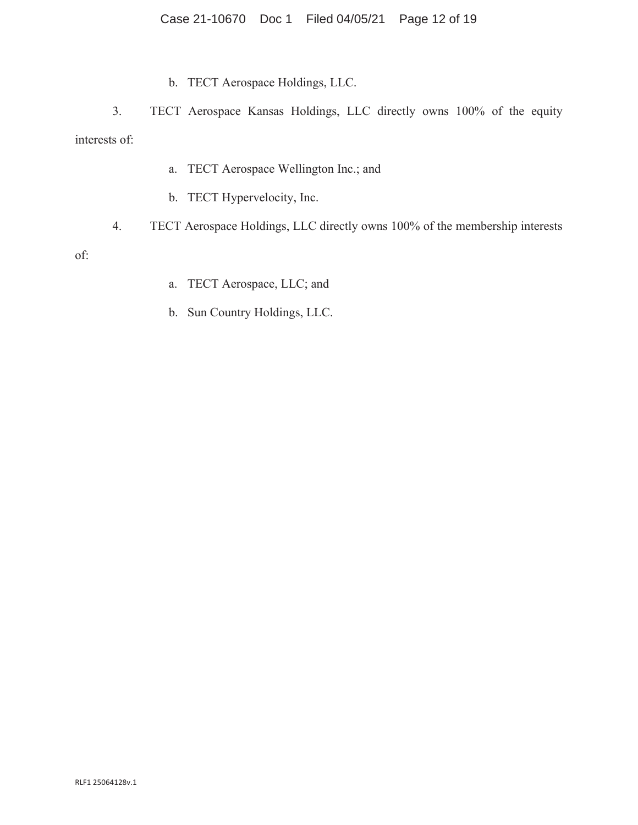## Case 21-10670 Doc 1 Filed 04/05/21 Page 12 of 19

b. TECT Aerospace Holdings, LLC.

3. TECT Aerospace Kansas Holdings, LLC directly owns 100% of the equity interests of:

- a. TECT Aerospace Wellington Inc.; and
- b. TECT Hypervelocity, Inc.
- 4. TECT Aerospace Holdings, LLC directly owns 100% of the membership interests

of:

- a. TECT Aerospace, LLC; and
- b. Sun Country Holdings, LLC.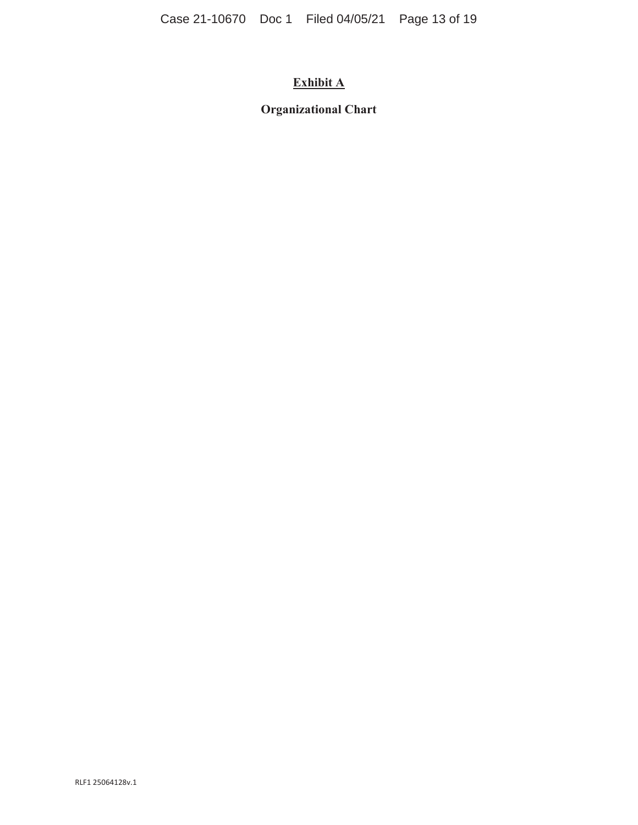# **Exhibit A**

## **Organizational Chart**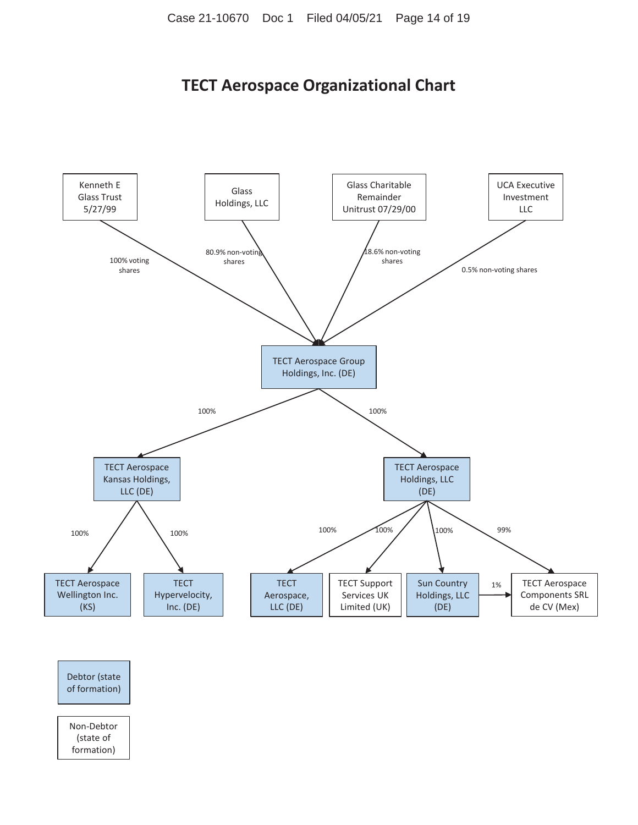# **TECT Aerospace Organizational Chart**



Non-Debtor (state of

formation)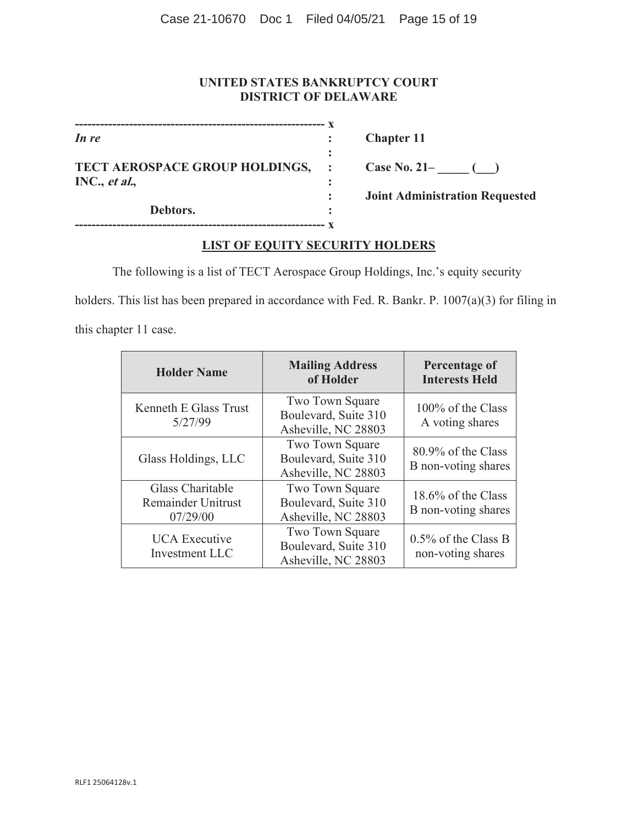## **UNITED STATES BANKRUPTCY COURT DISTRICT OF DELAWARE**

| In re                          |  |
|--------------------------------|--|
|                                |  |
| TECT AEROSPACE GROUP HOLDINGS, |  |
| INC., et al.,                  |  |
|                                |  |
| Debtors.                       |  |

**------------------------------------------------------------ x** 

*In re* **: Chapter 11** 

Case No. 21– <u>\_\_\_</u> (\_\_)

 **: Joint Administration Requested** 

## **LIST OF EQUITY SECURITY HOLDERS**

The following is a list of TECT Aerospace Group Holdings, Inc.'s equity security

holders. This list has been prepared in accordance with Fed. R. Bankr. P. 1007(a)(3) for filing in

this chapter 11 case.

| <b>Holder Name</b>                                        | <b>Mailing Address</b><br>of Holder                            | Percentage of<br><b>Interests Held</b>      |
|-----------------------------------------------------------|----------------------------------------------------------------|---------------------------------------------|
| Kenneth E Glass Trust<br>5/27/99                          | Two Town Square<br>Boulevard, Suite 310<br>Asheville, NC 28803 | 100% of the Class<br>A voting shares        |
| Glass Holdings, LLC                                       | Two Town Square<br>Boulevard, Suite 310<br>Asheville, NC 28803 | 80.9% of the Class<br>B non-voting shares   |
| Glass Charitable<br><b>Remainder Unitrust</b><br>07/29/00 | Two Town Square<br>Boulevard, Suite 310<br>Asheville, NC 28803 | 18.6% of the Class<br>B non-voting shares   |
| <b>UCA</b> Executive<br>Investment LLC                    | Two Town Square<br>Boulevard, Suite 310<br>Asheville, NC 28803 | $0.5\%$ of the Class B<br>non-voting shares |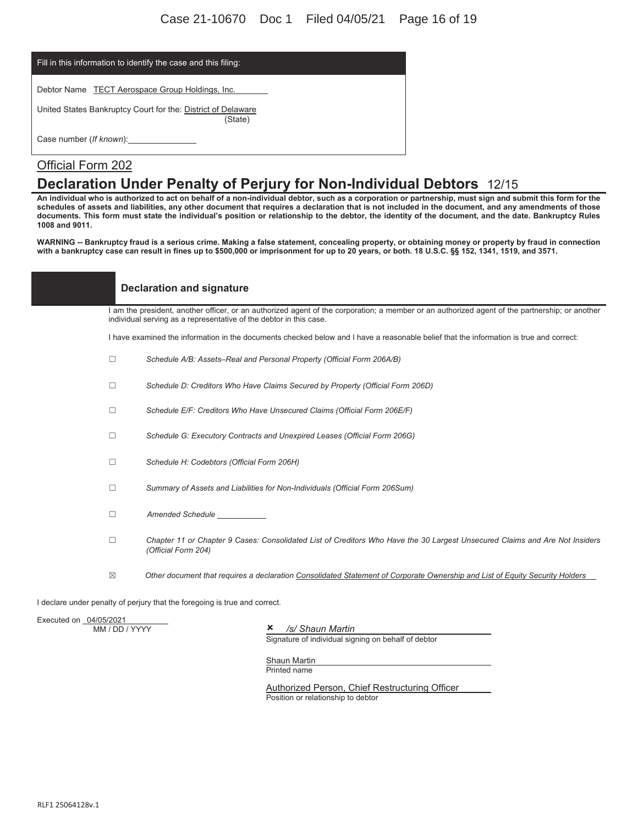| Fill in this information to identify the case and this filing:          |
|-------------------------------------------------------------------------|
| Debtor Name TECT Aerospace Group Holdings, Inc.                         |
| United States Bankruptcy Court for the: District of Delaware<br>(State) |
|                                                                         |

## Official Form 202

## **Declaration Under Penalty of Perjury for Non-Individual Debtors** 12/15

**An individual who is authorized to act on behalf of a non-individual debtor, such as a corporation or partnership, must sign and submit this form for the schedules of assets and liabilities, any other document that requires a declaration that is not included in the document, and any amendments of those documents. This form must state the individual's position or relationship to the debtor, the identity of the document, and the date. Bankruptcy Rules 1008 and 9011.** 

**WARNING -- Bankruptcy fraud is a serious crime. Making a false statement, concealing property, or obtaining money or property by fraud in connection with a bankruptcy case can result in fines up to \$500,000 or imprisonment for up to 20 years, or both. 18 U.S.C. §§ 152, 1341, 1519, and 3571.**

| <b>Declaration and signature</b> |  |
|----------------------------------|--|
|                                  |  |

I am the president, another officer, or an authorized agent of the corporation; a member or an authorized agent of the partnership; or another individual serving as a representative of the debtor in this case.

I have examined the information in the documents checked below and I have a reasonable belief that the information is true and correct:

- ܆ *Schedule A/B: Assets–Real and Personal Property (Official Form 206A/B)*
- ܆ *Schedule D: Creditors Who Have Claims Secured by Property (Official Form 206D)*
- ܆ *Schedule E/F: Creditors Who Have Unsecured Claims (Official Form 206E/F)*
- ܆ *Schedule G: Executory Contracts and Unexpired Leases (Official Form 206G)*
- ܆ *Schedule H: Codebtors (Official Form 206H)*
- ܆ *Summary of Assets and Liabilities for Non-Individuals (Official Form 206Sum)*
- ܆ *Amended Schedule*
- ܆ *Chapter 11 or Chapter 9 Cases: Consolidated List of Creditors Who Have the 30 Largest Unsecured Claims and Are Not Insiders (Official Form 204)*
- ܈ *Other document that requires a declaration Consolidated Statement of Corporate Ownership and List of Equity Security Holders*

I declare under penalty of perjury that the foregoing is true and correct.

Executed on 04/05/2021<br>MM / DD / YYYY

**x** /s/ Shaun Martin

Signature of individual signing on behalf of debtor

Shaun Martin Printed name

Authorized Person, Chief Restructuring Officer Position or relationship to debtor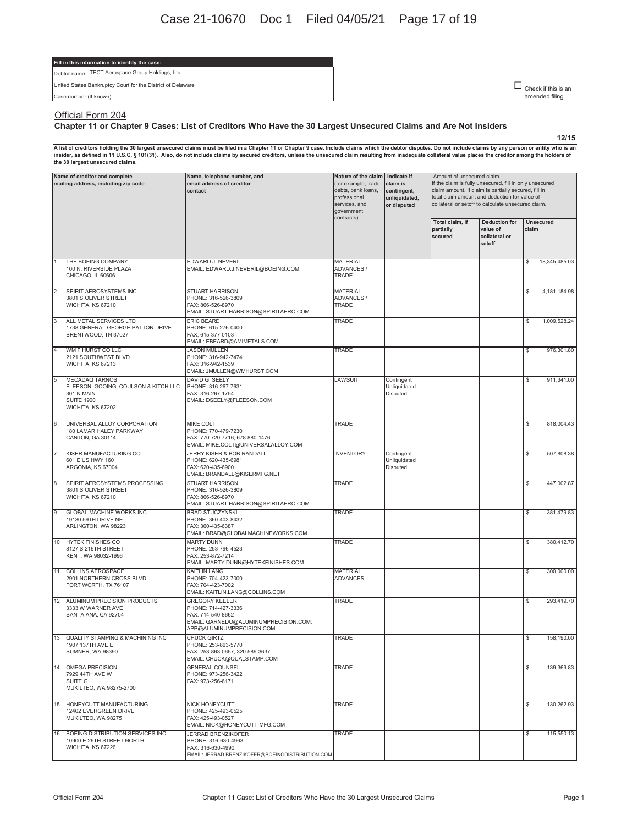#### **Fill in this information to identify the case:**

Debtor name: TECT Aerospace Group Holdings, Inc.

United States Bankruptcy Court for the District of Delaware

Case number (If known):

 $\square$  Check if this is an amended filing

**12/15**

#### Official Form 204

#### **Chapter 11 or Chapter 9 Cases: List of Creditors Who Have the 30 Largest Unsecured Claims and Are Not Insiders**

A list of creditors holding the 30 largest unsecured claims must be filed in a Chapter 11 or Chapter 9 case. Include claims which the debtor disputes. Do not include claims by any person or entity who is an<br>insider, as def **the 30 largest unsecured claims.** 

| Name of creditor and complete<br>mailing address, including zip code |                                                                                                                              | Name, telephone number, and<br>email address of creditor<br>contact                                                                     | Nature of the claim<br>(for example, trade<br>debts, bank loans,<br>professional<br>services, and<br>government<br>contracts) | Indicate if<br>claim is<br>contingent,<br>unliquidated,<br>or disputed | Amount of unsecured claim<br>If the claim is fully unsecured, fill in only unsecured<br>claim amount. If claim is partially secured, fill in<br>total claim amount and deduction for value of<br>collateral or setoff to calculate unsecured claim. |                                                             |                           |  |
|----------------------------------------------------------------------|------------------------------------------------------------------------------------------------------------------------------|-----------------------------------------------------------------------------------------------------------------------------------------|-------------------------------------------------------------------------------------------------------------------------------|------------------------------------------------------------------------|-----------------------------------------------------------------------------------------------------------------------------------------------------------------------------------------------------------------------------------------------------|-------------------------------------------------------------|---------------------------|--|
|                                                                      |                                                                                                                              |                                                                                                                                         |                                                                                                                               |                                                                        | Total claim, if<br>partially<br>secured                                                                                                                                                                                                             | <b>Deduction for</b><br>value of<br>collateral or<br>setoff | <b>Unsecured</b><br>claim |  |
|                                                                      | THE BOEING COMPANY<br>100 N. RIVERSIDE PLAZA<br>CHICAGO. IL 60606                                                            | EDWARD J. NEVERIL<br>EMAIL: EDWARD.J.NEVERIL@BOEING.COM                                                                                 | <b>MATERIAL</b><br>ADVANCES /<br>TRADE                                                                                        |                                                                        |                                                                                                                                                                                                                                                     |                                                             | 18,345,485.03<br>\$       |  |
| $\overline{2}$                                                       | SPIRIT AEROSYSTEMS INC<br>3801 S OLIVER STREET<br>WICHITA, KS 67210                                                          | <b>STUART HARRISON</b><br>PHONE: 316-526-3809<br>FAX: 866-526-8970<br>EMAIL: STUART.HARRISON@SPIRITAERO.COM                             | <b>MATERIAL</b><br>ADVANCES /<br>TRADE                                                                                        |                                                                        |                                                                                                                                                                                                                                                     |                                                             | 4,181,184.98<br>\$        |  |
| 3                                                                    | ALL METAL SERVICES LTD<br>1738 GENERAL GEORGE PATTON DRIVE<br>BRENTWOOD, TN 37027                                            | ERIC BEARD<br>PHONE: 615-276-0400<br>FAX: 615-377-0103<br>EMAIL: EBEARD@AMIMETALS.COM                                                   | TRADE                                                                                                                         |                                                                        |                                                                                                                                                                                                                                                     |                                                             | 1,009,528.24<br>\$        |  |
| 4                                                                    | WM F HURST CO LLC<br>2121 SOUTHWEST BLVD<br>WICHITA, KS 67213                                                                | <b>JASON MULLEN</b><br>PHONE: 316-942-7474<br>FAX: 316-942-1539<br>EMAIL: JMULLEN@WMHURST.COM                                           | TRADE                                                                                                                         |                                                                        |                                                                                                                                                                                                                                                     |                                                             | \$<br>976,301.80          |  |
| 5                                                                    | <b>MECADAQ TARNOS</b><br>FLEESON, GOOING, COULSON & KITCH LLC<br><b>301 N MAIN</b><br><b>SUITE 1900</b><br>WICHITA, KS 67202 | DAVID G SEELY<br>PHONE: 316-267-7631<br>FAX: 316-267-1754<br>EMAIL: DSEELY@FLEESON.COM                                                  | LAWSUIT                                                                                                                       | Contingent<br>Unliquidated<br>Disputed                                 |                                                                                                                                                                                                                                                     |                                                             | 911,341.00<br>\$          |  |
| 6                                                                    | UNIVERSAL ALLOY CORPORATION<br>180 LAMAR HALEY PARKWAY<br>CANTON, GA 30114                                                   | MIKE COLT<br>PHONE: 770-479-7230<br>FAX: 770-720-7716; 678-880-1476<br>EMAIL: MIKE.COLT@UNIVERSALALLOY.COM                              | TRADE                                                                                                                         |                                                                        |                                                                                                                                                                                                                                                     |                                                             | 818,004.43<br>\$          |  |
|                                                                      | KISER MANUFACTURING CO<br>601 E US HWY 160<br>ARGONIA, KS 67004                                                              | JERRY KISER & BOB RANDALL<br>PHONE: 620-435-6981<br>FAX: 620-435-6900<br>EMAIL: BRANDALL@KISERMFG.NET                                   | <b>INVENTORY</b>                                                                                                              | Contingent<br>Unliquidated<br>Disputed                                 |                                                                                                                                                                                                                                                     |                                                             | 507,808.38<br>\$          |  |
| 8                                                                    | SPIRIT AEROSYSTEMS PROCESSING<br>3801 S OLIVER STREET<br>WICHITA, KS 67210                                                   | <b>STUART HARRISON</b><br>PHONE: 316-526-3809<br>FAX: 866-526-8970<br>EMAIL: STUART.HARRISON@SPIRITAERO.COM                             | TRADE                                                                                                                         |                                                                        |                                                                                                                                                                                                                                                     |                                                             | 447,002.87<br>\$          |  |
| 9                                                                    | GLOBAL MACHINE WORKS INC.<br>19130 59TH DRIVE NE<br>ARLINGTON, WA 98223                                                      | <b>BRAD STUCZYNSKI</b><br>PHONE: 360-403-8432<br>FAX: 360-435-6387<br>EMAIL: BRAD@GLOBALMACHINEWORKS.COM                                | TRADE                                                                                                                         |                                                                        |                                                                                                                                                                                                                                                     |                                                             | 381,479.83<br>\$          |  |
| 10                                                                   | HYTEK FINISHES CO<br>8127 S 216TH STREET<br>KENT, WA 98032-1996                                                              | <b>MARTY DUNN</b><br>PHONE: 253-796-4523<br>FAX: 253-872-7214<br>EMAIL: MARTY.DUNN@HYTEKFINISHES.COM                                    | TRADE                                                                                                                         |                                                                        |                                                                                                                                                                                                                                                     |                                                             | \$<br>380,412.70          |  |
| 11                                                                   | <b>COLLINS AEROSPACE</b><br>2901 NORTHERN CROSS BLVD<br>FORT WORTH, TX 76107                                                 | KAITLIN LANG<br>PHONE: 704-423-7000<br>FAX: 704-423-7002<br>EMAIL: KAITLIN.LANG@COLLINS.COM                                             | <b>MATERIAL</b><br><b>ADVANCES</b>                                                                                            |                                                                        |                                                                                                                                                                                                                                                     |                                                             | 300,000.00<br>\$          |  |
| 12                                                                   | ALUMINUM PRECISION PRODUCTS<br>3333 W WARNER AVE<br>SANTA ANA, CA 92704                                                      | <b>GREGORY KEELER</b><br>PHONE: 714-427-3336<br>FAX: 714-540-8662<br>EMAIL: GARNEDO@ALUMINUMPRECISION.COM;<br>APP@ALUMINUMPRECISION.COM | TRADE                                                                                                                         |                                                                        |                                                                                                                                                                                                                                                     |                                                             | 293,419.70<br>\$          |  |
|                                                                      | 13 QUALITY STAMPING & MACHINING INC<br>1907 137TH AVE E<br>SUMNER, WA 98390                                                  | CHUCK GIRTZ<br>PHONE: 253-863-5770<br>FAX: 253-863-0657; 320-589-3637<br>EMAIL: CHUCK@QUALSTAMP.COM                                     | <b>TRADE</b>                                                                                                                  |                                                                        |                                                                                                                                                                                                                                                     |                                                             | 158,190.00                |  |
| 14                                                                   | OMEGA PRECISION<br>7929 44TH AVE W<br>SUITE G<br>MUKILTEO, WA 98275-2700                                                     | <b>GENERAL COUNSEL</b><br>PHONE: 973-256-3422<br>FAX: 973-256-6171                                                                      | TRADE                                                                                                                         |                                                                        |                                                                                                                                                                                                                                                     |                                                             | 139,369.83<br>\$          |  |
| 15                                                                   | HONEYCUTT MANUFACTURING<br>12402 EVERGREEN DRIVE<br>MUKILTEO, WA 98275                                                       | <b>NICK HONEYCUTT</b><br>PHONE: 425-493-0525<br>FAX: 425-493-0527<br>EMAIL: NICK@HONEYCUTT-MFG.COM                                      | TRADE                                                                                                                         |                                                                        |                                                                                                                                                                                                                                                     |                                                             | 130,262.93<br>\$          |  |
| 16                                                                   | BOEING DISTRIBUTION SERVICES INC.<br>10900 E 26TH STREET NORTH<br>WICHITA, KS 67226                                          | <b>JERRAD BRENZIKOFER</b><br>PHONE: 316-630-4963<br>FAX: 316-630-4990<br>EMAIL: JERRAD.BRENZIKOFER@BOEINGDISTRIBUTION.COM               | TRADE                                                                                                                         |                                                                        |                                                                                                                                                                                                                                                     |                                                             | 115,550.13<br>\$          |  |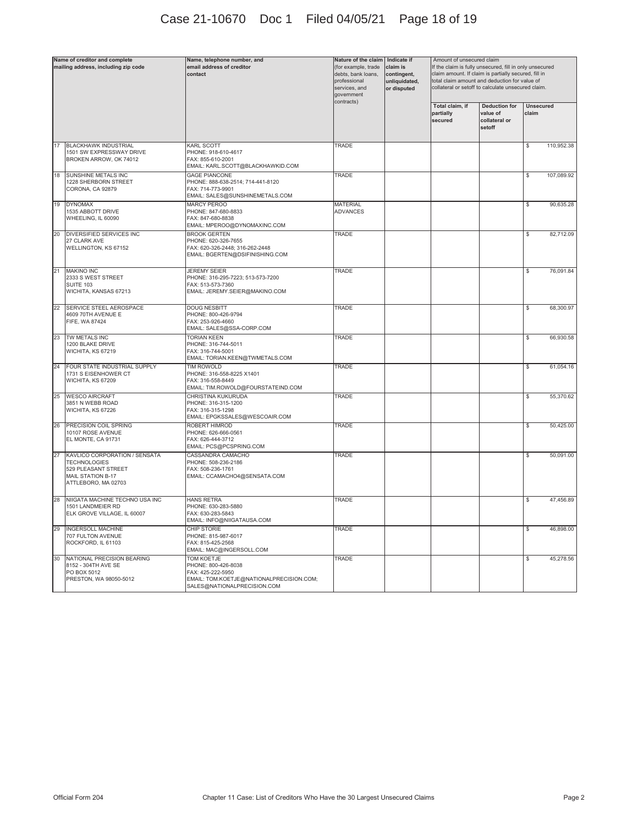# Case 21-10670 Doc 1 Filed 04/05/21 Page 18 of 19

| Name of creditor and complete<br>mailing address, including zip code |                                                                                                                         | Name, telephone number, and<br>email address of creditor<br>contact                                                                      | Nature of the claim   Indicate if<br>(for example, trade<br>debts, bank loans,<br>professional<br>services, and<br>government<br>contracts) | claim is<br>contingent,<br>unliquidated,<br>or disputed | Amount of unsecured claim<br>If the claim is fully unsecured, fill in only unsecured<br>claim amount. If claim is partially secured, fill in<br>total claim amount and deduction for value of<br>collateral or setoff to calculate unsecured claim. |                                                             |                           |            |
|----------------------------------------------------------------------|-------------------------------------------------------------------------------------------------------------------------|------------------------------------------------------------------------------------------------------------------------------------------|---------------------------------------------------------------------------------------------------------------------------------------------|---------------------------------------------------------|-----------------------------------------------------------------------------------------------------------------------------------------------------------------------------------------------------------------------------------------------------|-------------------------------------------------------------|---------------------------|------------|
|                                                                      |                                                                                                                         |                                                                                                                                          |                                                                                                                                             |                                                         | Total claim, if<br>partially<br>secured                                                                                                                                                                                                             | <b>Deduction for</b><br>value of<br>collateral or<br>setoff | <b>Unsecured</b><br>claim |            |
| 17                                                                   | <b>BLACKHAWK INDUSTRIAL</b><br>1501 SW EXPRESSWAY DRIVE<br>BROKEN ARROW, OK 74012                                       | <b>KARL SCOTT</b><br>PHONE: 918-610-4617<br>FAX: 855-610-2001<br>EMAIL: KARL.SCOTT@BLACKHAWKID.COM                                       | TRADE                                                                                                                                       |                                                         |                                                                                                                                                                                                                                                     |                                                             | \$                        | 110,952.38 |
| 18                                                                   | <b>SUNSHINE METALS INC</b><br>1228 SHERBORN STREET<br>CORONA, CA 92879                                                  | <b>GAGE PIANCONE</b><br>PHONE: 888-638-2514; 714-441-8120<br>FAX: 714-773-9901<br>EMAIL: SALES@SUNSHINEMETALS.COM                        | TRADE                                                                                                                                       |                                                         |                                                                                                                                                                                                                                                     |                                                             | \$                        | 107,089.92 |
| 19                                                                   | <b>DYNOMAX</b><br>1535 ABBOTT DRIVE<br>WHEELING, IL 60090                                                               | MARCY PEROO<br>PHONE: 847-680-8833<br>FAX: 847-680-8838<br>EMAIL: MPEROO@DYNOMAXINC.COM                                                  | <b>MATERIAL</b><br>ADVANCES                                                                                                                 |                                                         |                                                                                                                                                                                                                                                     |                                                             | \$                        | 90,635.28  |
| 20                                                                   | <b>DIVERSIFIED SERVICES INC</b><br>27 CLARK AVE<br>WELLINGTON, KS 67152                                                 | <b>BROOK GERTEN</b><br>PHONE: 620-326-7655<br>FAX: 620-326-2448; 316-262-2448<br>EMAIL: BGERTEN@DSIFINISHING.COM                         | TRADE                                                                                                                                       |                                                         |                                                                                                                                                                                                                                                     |                                                             | \$                        | 82,712.09  |
| 21                                                                   | <b>MAKINO INC</b><br>2333 S WEST STREET<br><b>SUITE 103</b><br>WICHITA, KANSAS 67213                                    | <b>JEREMY SEIER</b><br>PHONE: 316-295-7223; 513-573-7200<br>FAX: 513-573-7360<br>EMAIL: JEREMY.SEIER@MAKINO.COM                          | TRADE                                                                                                                                       |                                                         |                                                                                                                                                                                                                                                     |                                                             | \$                        | 76,091.84  |
| 22                                                                   | <b>SERVICE STEEL AEROSPACE</b><br>4609 70TH AVENUE E<br>FIFE, WA 87424                                                  | <b>DOUG NESBITT</b><br>PHONE: 800-426-9794<br>FAX: 253-926-4660<br>EMAIL: SALES@SSA-CORP.COM                                             | TRADE                                                                                                                                       |                                                         |                                                                                                                                                                                                                                                     |                                                             | \$                        | 68,300.97  |
| 23                                                                   | TW METALS INC<br>1200 BLAKE DRIVE<br>WICHITA, KS 67219                                                                  | <b>TORIAN KEEN</b><br>PHONE: 316-744-5011<br>FAX: 316-744-5001<br>EMAIL: TORIAN.KEEN@TWMETALS.COM                                        | TRADE                                                                                                                                       |                                                         |                                                                                                                                                                                                                                                     |                                                             | \$                        | 66,930.58  |
| 24                                                                   | FOUR STATE INDUSTRIAL SUPPLY<br>1731 S EISENHOWER CT<br>WICHITA, KS 67209                                               | <b>TIM ROWOLD</b><br>PHONE: 316-558-8225 X1401<br>FAX: 316-558-8449<br>EMAIL: TIM.ROWOLD@FOURSTATEIND.COM                                | TRADE                                                                                                                                       |                                                         |                                                                                                                                                                                                                                                     |                                                             | \$                        | 61,054.16  |
| 25                                                                   | <b>WESCO AIRCRAFT</b><br>3851 N WEBB ROAD<br>WICHITA, KS 67226                                                          | CHRISTINA KUKURUDA<br>PHONE: 316-315-1200<br>FAX: 316-315-1298<br>EMAIL: EPGKSSALES@WESCOAIR.COM                                         | TRADE                                                                                                                                       |                                                         |                                                                                                                                                                                                                                                     |                                                             | \$                        | 55,370.62  |
| 26                                                                   | PRECISION COIL SPRING<br>10107 ROSE AVENUE<br>EL MONTE, CA 91731                                                        | ROBERT HIMROD<br>PHONE: 626-666-0561<br>FAX: 626-444-3712<br>EMAIL: PCS@PCSPRING.COM                                                     | TRADE                                                                                                                                       |                                                         |                                                                                                                                                                                                                                                     |                                                             | \$                        | 50,425.00  |
| 27                                                                   | KAVLICO CORPORATION / SENSATA<br><b>TECHNOLOGIES</b><br>529 PLEASANT STREET<br>MAIL STATION B-17<br>ATTLEBORO, MA 02703 | CASSANDRA CAMACHO<br>PHONE: 508-236-2186<br>FAX: 508-236-1761<br>EMAIL: CCAMACHO4@SENSATA.COM                                            | TRADE                                                                                                                                       |                                                         |                                                                                                                                                                                                                                                     |                                                             | \$                        | 50.091.00  |
| 28                                                                   | NIIGATA MACHINE TECHNO USA INC<br>1501 LANDMEIER RD<br>ELK GROVE VILLAGE, IL 60007                                      | <b>HANS RETRA</b><br>PHONE: 630-283-5880<br>FAX: 630-283-5843<br>EMAIL: INFO@NIIGATAUSA.COM                                              | TRADE                                                                                                                                       |                                                         |                                                                                                                                                                                                                                                     |                                                             | \$                        | 47,456.89  |
| 29                                                                   | <b>INGERSOLL MACHINE</b><br>707 FULTON AVENUE<br>ROCKFORD, IL 61103                                                     | CHIP STORIE<br>PHONE: 815-987-6017<br>FAX: 815-425-2568<br>EMAIL: MAC@INGERSOLL.COM                                                      | TRADE                                                                                                                                       |                                                         |                                                                                                                                                                                                                                                     |                                                             | \$                        | 46,898.00  |
| 30                                                                   | NATIONAL PRECISION BEARING<br>8152 - 304TH AVE SE<br>PO BOX 5012<br>PRESTON, WA 98050-5012                              | <b>TOM KOETJE</b><br>PHONE: 800-426-8038<br>FAX: 425-222-5950<br>EMAIL: TOM.KOETJE@NATIONALPRECISION.COM;<br>SALES@NATIONALPRECISION.COM | TRADE                                                                                                                                       |                                                         |                                                                                                                                                                                                                                                     |                                                             | \$                        | 45,278.56  |